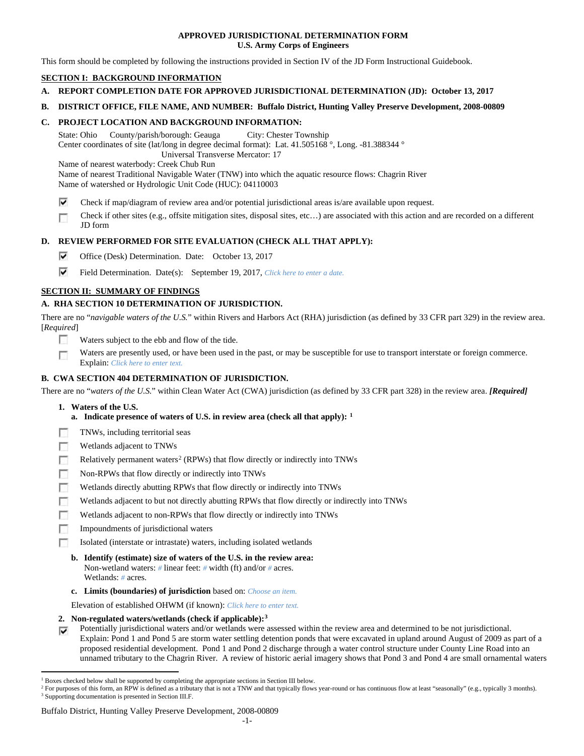## **APPROVED JURISDICTIONAL DETERMINATION FORM U.S. Army Corps of Engineers**

This form should be completed by following the instructions provided in Section IV of the JD Form Instructional Guidebook.

# **SECTION I: BACKGROUND INFORMATION**

- **A. REPORT COMPLETION DATE FOR APPROVED JURISDICTIONAL DETERMINATION (JD): October 13, 2017**
- **B. DISTRICT OFFICE, FILE NAME, AND NUMBER: Buffalo District, Hunting Valley Preserve Development, 2008-00809**

## **C. PROJECT LOCATION AND BACKGROUND INFORMATION:**

State: Ohio County/parish/borough: Geauga City: Chester Township Center coordinates of site (lat/long in degree decimal format): Lat. 41.505168 °, Long. -81.388344 ° Universal Transverse Mercator: 17 Name of nearest waterbody: Creek Chub Run

Name of nearest Traditional Navigable Water (TNW) into which the aquatic resource flows: Chagrin River Name of watershed or Hydrologic Unit Code (HUC): 04110003

- ⊽ Check if map/diagram of review area and/or potential jurisdictional areas is/are available upon request.
- Check if other sites (e.g., offsite mitigation sites, disposal sites, etc…) are associated with this action and are recorded on a different п JD form

## **D. REVIEW PERFORMED FOR SITE EVALUATION (CHECK ALL THAT APPLY):**

- ⊽ Office (Desk) Determination. Date: October 13, 2017
- ⊽ Field Determination. Date(s): September 19, 2017, *Click here to enter a date.*

# **SECTION II: SUMMARY OF FINDINGS**

# **A. RHA SECTION 10 DETERMINATION OF JURISDICTION.**

There are no "*navigable waters of the U.S.*" within Rivers and Harbors Act (RHA) jurisdiction (as defined by 33 CFR part 329) in the review area. [*Required*]

- n Waters subject to the ebb and flow of the tide.
- Waters are presently used, or have been used in the past, or may be susceptible for use to transport interstate or foreign commerce. п Explain: *Click here to enter text.*

# **B. CWA SECTION 404 DETERMINATION OF JURISDICTION.**

There are no "*waters of the U.S.*" within Clean Water Act (CWA) jurisdiction (as defined by 33 CFR part 328) in the review area. *[Required]*

- **1. Waters of the U.S.**
	- **a. Indicate presence of waters of U.S. in review area (check all that apply): [1](#page-0-0)**
- г TNWs, including territorial seas
- П Wetlands adjacent to TNWs
- Relatively permanent waters<sup>[2](#page-0-1)</sup> (RPWs) that flow directly or indirectly into TNWs 匝
- г Non-RPWs that flow directly or indirectly into TNWs
- п Wetlands directly abutting RPWs that flow directly or indirectly into TNWs
- Wetlands adjacent to but not directly abutting RPWs that flow directly or indirectly into TNWs F
- Wetlands adjacent to non-RPWs that flow directly or indirectly into TNWs г
- 匝 Impoundments of jurisdictional waters
- Isolated (interstate or intrastate) waters, including isolated wetlands To 1
	- **b. Identify (estimate) size of waters of the U.S. in the review area:** Non-wetland waters: *#* linear feet: *#* width (ft) and/or *#* acres. Wetlands: *#* acres.
	- **c. Limits (boundaries) of jurisdiction** based on: *Choose an item.*

Elevation of established OHWM (if known): *Click here to enter text.*

- **2. Non-regulated waters/wetlands (check if applicable):[3](#page-0-2)**
- Potentially jurisdictional waters and/or wetlands were assessed within the review area and determined to be not jurisdictional. ⊽ Explain: Pond 1 and Pond 5 are storm water settling detention ponds that were excavated in upland around August of 2009 as part of a proposed residential development. Pond 1 and Pond 2 discharge through a water control structure under County Line Road into an unnamed tributary to the Chagrin River. A review of historic aerial imagery shows that Pond 3 and Pond 4 are small ornamental waters

#### Buffalo District, Hunting Valley Preserve Development, 2008-00809

<span id="page-0-0"></span> $1$  Boxes checked below shall be supported by completing the appropriate sections in Section III below.

<span id="page-0-2"></span><span id="page-0-1"></span><sup>&</sup>lt;sup>2</sup> For purposes of this form, an RPW is defined as a tributary that is not a TNW and that typically flows year-round or has continuous flow at least "seasonally" (e.g., typically 3 months). <sup>3</sup> Supporting documentation is presented in Section III.F.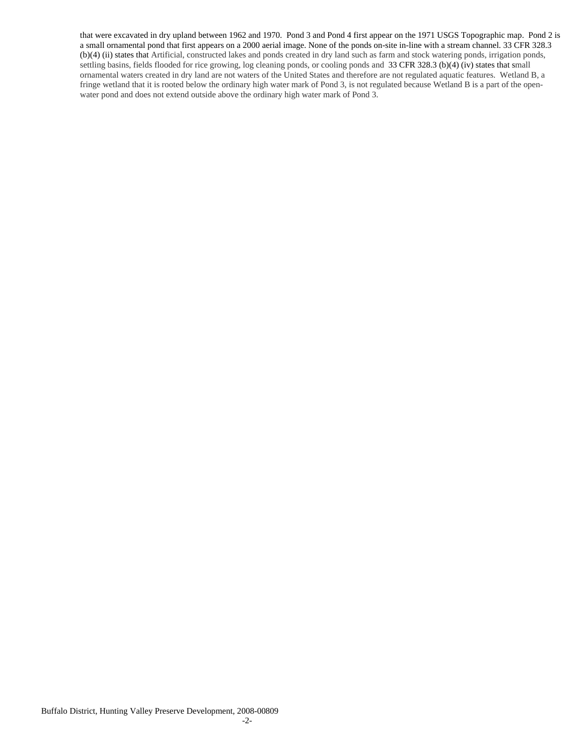that were excavated in dry upland between 1962 and 1970. Pond 3 and Pond 4 first appear on the 1971 USGS Topographic map. Pond 2 is a small ornamental pond that first appears on a 2000 aerial image. None of the ponds on-site in-line with a stream channel. 33 CFR 328.3 (b)(4) (ii) states that Artificial, constructed lakes and ponds created in dry land such as farm and stock watering ponds, irrigation ponds, settling basins, fields flooded for rice growing, log cleaning ponds, or cooling ponds and 33 CFR 328.3 (b)(4) (iv) states that small ornamental waters created in dry land are not waters of the United States and therefore are not regulated aquatic features. Wetland B, a fringe wetland that it is rooted below the ordinary high water mark of Pond 3, is not regulated because Wetland B is a part of the openwater pond and does not extend outside above the ordinary high water mark of Pond 3.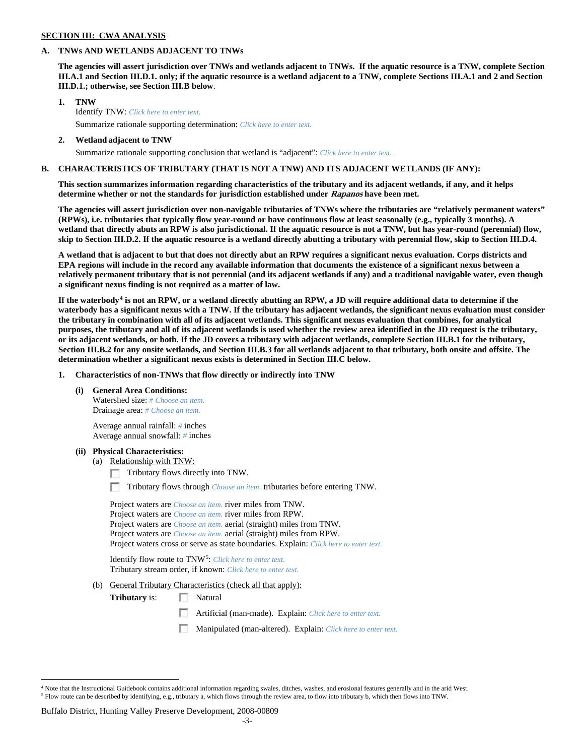### **SECTION III: CWA ANALYSIS**

## **A. TNWs AND WETLANDS ADJACENT TO TNWs**

**The agencies will assert jurisdiction over TNWs and wetlands adjacent to TNWs. If the aquatic resource is a TNW, complete Section III.A.1 and Section III.D.1. only; if the aquatic resource is a wetland adjacent to a TNW, complete Sections III.A.1 and 2 and Section III.D.1.; otherwise, see Section III.B below**.

- **1. TNW**  Identify TNW: *Click here to enter text.*
	- Summarize rationale supporting determination: *Click here to enter text.*
- **2. Wetland adjacent to TNW** Summarize rationale supporting conclusion that wetland is "adjacent": *Click here to enter text.*

# **B. CHARACTERISTICS OF TRIBUTARY (THAT IS NOT A TNW) AND ITS ADJACENT WETLANDS (IF ANY):**

**This section summarizes information regarding characteristics of the tributary and its adjacent wetlands, if any, and it helps determine whether or not the standards for jurisdiction established under Rapanos have been met.** 

**The agencies will assert jurisdiction over non-navigable tributaries of TNWs where the tributaries are "relatively permanent waters" (RPWs), i.e. tributaries that typically flow year-round or have continuous flow at least seasonally (e.g., typically 3 months). A wetland that directly abuts an RPW is also jurisdictional. If the aquatic resource is not a TNW, but has year-round (perennial) flow, skip to Section III.D.2. If the aquatic resource is a wetland directly abutting a tributary with perennial flow, skip to Section III.D.4.**

**A wetland that is adjacent to but that does not directly abut an RPW requires a significant nexus evaluation. Corps districts and EPA regions will include in the record any available information that documents the existence of a significant nexus between a relatively permanent tributary that is not perennial (and its adjacent wetlands if any) and a traditional navigable water, even though a significant nexus finding is not required as a matter of law.**

**If the waterbody[4](#page-2-0) is not an RPW, or a wetland directly abutting an RPW, a JD will require additional data to determine if the waterbody has a significant nexus with a TNW. If the tributary has adjacent wetlands, the significant nexus evaluation must consider the tributary in combination with all of its adjacent wetlands. This significant nexus evaluation that combines, for analytical purposes, the tributary and all of its adjacent wetlands is used whether the review area identified in the JD request is the tributary, or its adjacent wetlands, or both. If the JD covers a tributary with adjacent wetlands, complete Section III.B.1 for the tributary, Section III.B.2 for any onsite wetlands, and Section III.B.3 for all wetlands adjacent to that tributary, both onsite and offsite. The determination whether a significant nexus exists is determined in Section III.C below.**

**1. Characteristics of non-TNWs that flow directly or indirectly into TNW**

**(i) General Area Conditions:**

Watershed size: *# Choose an item.* Drainage area: *# Choose an item.*

Average annual rainfall: *#* inches Average annual snowfall: *#* inches

### **(ii) Physical Characteristics:**

- (a) Relationship with TNW:
	- Tributary flows directly into TNW.

n Tributary flows through *Choose an item.* tributaries before entering TNW.

Project waters are *Choose an item.* river miles from TNW. Project waters are *Choose an item.* river miles from RPW. Project waters are *Choose an item.* aerial (straight) miles from TNW. Project waters are *Choose an item.* aerial (straight) miles from RPW. Project waters cross or serve as state boundaries. Explain: *Click here to enter text.*

Identify flow route to TNW[5:](#page-2-1) *Click here to enter text.* Tributary stream order, if known: *Click here to enter text.*

(b) General Tributary Characteristics (check all that apply):

**Tributary** is: Natural

- $\sim$ Artificial (man-made). Explain: *Click here to enter text.*
- Manipulated (man-altered). Explain: *Click here to enter text.*

Buffalo District, Hunting Valley Preserve Development, 2008-00809

<span id="page-2-1"></span><span id="page-2-0"></span> <sup>4</sup> Note that the Instructional Guidebook contains additional information regarding swales, ditches, washes, and erosional features generally and in the arid West. <sup>5</sup> Flow route can be described by identifying, e.g., tributary a, which flows through the review area, to flow into tributary b, which then flows into TNW.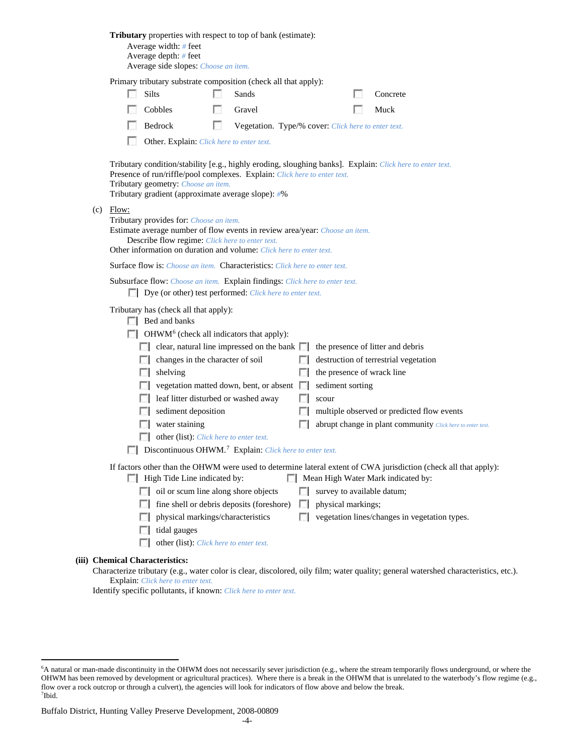|                                                                                                                                                                                                                                                                 | <b>Tributary</b> properties with respect to top of bank (estimate):<br>Average width: $#$ feet<br>Average depth: $#$ feet<br>Average side slopes: Choose an item.                                                                                                                   |                                                                                                                                          |     |                                                                             |             |                    |  |                                                                                                                                                        |  |  |  |  |  |
|-----------------------------------------------------------------------------------------------------------------------------------------------------------------------------------------------------------------------------------------------------------------|-------------------------------------------------------------------------------------------------------------------------------------------------------------------------------------------------------------------------------------------------------------------------------------|------------------------------------------------------------------------------------------------------------------------------------------|-----|-----------------------------------------------------------------------------|-------------|--------------------|--|--------------------------------------------------------------------------------------------------------------------------------------------------------|--|--|--|--|--|
|                                                                                                                                                                                                                                                                 | Primary tributary substrate composition (check all that apply):                                                                                                                                                                                                                     |                                                                                                                                          |     |                                                                             |             |                    |  |                                                                                                                                                        |  |  |  |  |  |
|                                                                                                                                                                                                                                                                 |                                                                                                                                                                                                                                                                                     | <b>Silts</b>                                                                                                                             |     | Sands                                                                       |             |                    |  | Concrete                                                                                                                                               |  |  |  |  |  |
|                                                                                                                                                                                                                                                                 |                                                                                                                                                                                                                                                                                     | Cobbles                                                                                                                                  | ю   | Gravel                                                                      |             |                    |  | Muck                                                                                                                                                   |  |  |  |  |  |
|                                                                                                                                                                                                                                                                 |                                                                                                                                                                                                                                                                                     | Bedrock                                                                                                                                  | LS. | Vegetation. Type/% cover: Click here to enter text.                         |             |                    |  |                                                                                                                                                        |  |  |  |  |  |
|                                                                                                                                                                                                                                                                 | Other. Explain: Click here to enter text.                                                                                                                                                                                                                                           |                                                                                                                                          |     |                                                                             |             |                    |  |                                                                                                                                                        |  |  |  |  |  |
|                                                                                                                                                                                                                                                                 | Tributary condition/stability [e.g., highly eroding, sloughing banks]. Explain: Click here to enter text.<br>Presence of run/riffle/pool complexes. Explain: Click here to enter text.<br>Tributary geometry: Choose an item.<br>Tributary gradient (approximate average slope): #% |                                                                                                                                          |     |                                                                             |             |                    |  |                                                                                                                                                        |  |  |  |  |  |
| $(c)$ Flow:<br>Tributary provides for: Choose an item.<br>Estimate average number of flow events in review area/year: Choose an item.<br>Describe flow regime: Click here to enter text.<br>Other information on duration and volume: Click here to enter text. |                                                                                                                                                                                                                                                                                     |                                                                                                                                          |     |                                                                             |             |                    |  |                                                                                                                                                        |  |  |  |  |  |
|                                                                                                                                                                                                                                                                 |                                                                                                                                                                                                                                                                                     |                                                                                                                                          |     | Surface flow is: Choose an item. Characteristics: Click here to enter text. |             |                    |  |                                                                                                                                                        |  |  |  |  |  |
|                                                                                                                                                                                                                                                                 |                                                                                                                                                                                                                                                                                     | Subsurface flow: Choose an item. Explain findings: Click here to enter text.<br>Dye (or other) test performed: Click here to enter text. |     |                                                                             |             |                    |  |                                                                                                                                                        |  |  |  |  |  |
|                                                                                                                                                                                                                                                                 | Tributary has (check all that apply):<br>$\Box$ Bed and banks                                                                                                                                                                                                                       |                                                                                                                                          |     |                                                                             |             |                    |  |                                                                                                                                                        |  |  |  |  |  |
|                                                                                                                                                                                                                                                                 |                                                                                                                                                                                                                                                                                     | $\Box$ OHWM <sup>6</sup> (check all indicators that apply):                                                                              |     |                                                                             |             |                    |  |                                                                                                                                                        |  |  |  |  |  |
|                                                                                                                                                                                                                                                                 |                                                                                                                                                                                                                                                                                     |                                                                                                                                          |     | $\Box$ clear, natural line impressed on the bank $\Box$                     |             |                    |  | the presence of litter and debris                                                                                                                      |  |  |  |  |  |
|                                                                                                                                                                                                                                                                 |                                                                                                                                                                                                                                                                                     | changes in the character of soil                                                                                                         |     |                                                                             |             |                    |  | destruction of terrestrial vegetation                                                                                                                  |  |  |  |  |  |
|                                                                                                                                                                                                                                                                 | $\Box$                                                                                                                                                                                                                                                                              | shelving                                                                                                                                 |     |                                                                             | <b>Fill</b> |                    |  | the presence of wrack line                                                                                                                             |  |  |  |  |  |
|                                                                                                                                                                                                                                                                 |                                                                                                                                                                                                                                                                                     |                                                                                                                                          |     | vegetation matted down, bent, or absent $\Box$                              |             | sediment sorting   |  |                                                                                                                                                        |  |  |  |  |  |
|                                                                                                                                                                                                                                                                 |                                                                                                                                                                                                                                                                                     | leaf litter disturbed or washed away                                                                                                     |     |                                                                             |             | scour              |  |                                                                                                                                                        |  |  |  |  |  |
|                                                                                                                                                                                                                                                                 |                                                                                                                                                                                                                                                                                     | sediment deposition                                                                                                                      |     |                                                                             |             |                    |  | multiple observed or predicted flow events                                                                                                             |  |  |  |  |  |
|                                                                                                                                                                                                                                                                 | L.                                                                                                                                                                                                                                                                                  | water staining                                                                                                                           |     |                                                                             |             |                    |  | abrupt change in plant community Click here to enter text.                                                                                             |  |  |  |  |  |
|                                                                                                                                                                                                                                                                 |                                                                                                                                                                                                                                                                                     | other (list): Click here to enter text.                                                                                                  |     |                                                                             |             |                    |  |                                                                                                                                                        |  |  |  |  |  |
|                                                                                                                                                                                                                                                                 | Discontinuous OHWM. <sup>7</sup> Explain: Click here to enter text.                                                                                                                                                                                                                 |                                                                                                                                          |     |                                                                             |             |                    |  |                                                                                                                                                        |  |  |  |  |  |
|                                                                                                                                                                                                                                                                 |                                                                                                                                                                                                                                                                                     | $\Box$ High Tide Line indicated by:                                                                                                      |     |                                                                             |             |                    |  | If factors other than the OHWM were used to determine lateral extent of CWA jurisdiction (check all that apply):<br>Mean High Water Mark indicated by: |  |  |  |  |  |
|                                                                                                                                                                                                                                                                 | $\sim$                                                                                                                                                                                                                                                                              | oil or scum line along shore objects                                                                                                     |     |                                                                             |             |                    |  | survey to available datum;                                                                                                                             |  |  |  |  |  |
|                                                                                                                                                                                                                                                                 | FЛ                                                                                                                                                                                                                                                                                  |                                                                                                                                          |     | fine shell or debris deposits (foreshore)                                   | <b>I</b> in | physical markings; |  |                                                                                                                                                        |  |  |  |  |  |
|                                                                                                                                                                                                                                                                 | П                                                                                                                                                                                                                                                                                   | physical markings/characteristics                                                                                                        |     |                                                                             | $\Box$      |                    |  | vegetation lines/changes in vegetation types.                                                                                                          |  |  |  |  |  |
|                                                                                                                                                                                                                                                                 |                                                                                                                                                                                                                                                                                     | tidal gauges                                                                                                                             |     |                                                                             |             |                    |  |                                                                                                                                                        |  |  |  |  |  |
|                                                                                                                                                                                                                                                                 | L.                                                                                                                                                                                                                                                                                  | other (list): Click here to enter text.                                                                                                  |     |                                                                             |             |                    |  |                                                                                                                                                        |  |  |  |  |  |
|                                                                                                                                                                                                                                                                 | <b>Chemical Characteristics:</b>                                                                                                                                                                                                                                                    |                                                                                                                                          |     |                                                                             |             |                    |  | Characterize tributary (e.g., water color is clear, discolored, oily film; water quality; general watershed characteristics, etc.).                    |  |  |  |  |  |

Explain: *Click here to enter text.*

Identify specific pollutants, if known: *Click here to enter text.*

**(iii)** 

<span id="page-3-0"></span> <sup>6</sup> <sup>6</sup>A natural or man-made discontinuity in the OHWM does not necessarily sever jurisdiction (e.g., where the stream temporarily flows underground, or where the OHWM has been removed by development or agricultural practices). Where there is a break in the OHWM that is unrelated to the waterbody's flow regime (e.g., flow over a rock outcrop or through a culvert), the agencies will look for indicators of flow above and below the break. 7 Ibid.

<span id="page-3-1"></span>Buffalo District, Hunting Valley Preserve Development, 2008-00809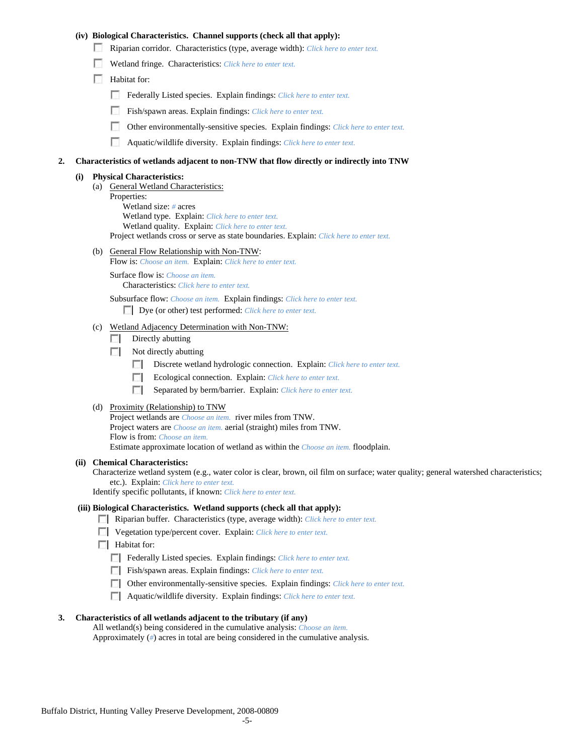## **(iv) Biological Characteristics. Channel supports (check all that apply):**

- Riparian corridor. Characteristics (type, average width): *Click here to enter text.*
- Wetland fringe. Characteristics: *Click here to enter text.*
- **Habitat for:** 
	- Federally Listed species. Explain findings: *Click here to enter text.*
	- Fish/spawn areas. Explain findings: *Click here to enter text.*
	- п Other environmentally-sensitive species. Explain findings: *Click here to enter text.*
	- $\sim$ Aquatic/wildlife diversity. Explain findings: *Click here to enter text.*

#### **2. Characteristics of wetlands adjacent to non-TNW that flow directly or indirectly into TNW**

### **(i) Physical Characteristics:**

- (a) General Wetland Characteristics:
	- Properties:

Wetland size: *#* acres Wetland type. Explain: *Click here to enter text.*

Wetland quality. Explain: *Click here to enter text.*

Project wetlands cross or serve as state boundaries. Explain: *Click here to enter text.*

(b) General Flow Relationship with Non-TNW: Flow is: *Choose an item.* Explain: *Click here to enter text.*

Surface flow is: *Choose an item.* Characteristics: *Click here to enter text.*

Subsurface flow: *Choose an item.* Explain findings: *Click here to enter text.*

Dye (or other) test performed: *Click here to enter text.*

#### (c) Wetland Adjacency Determination with Non-TNW:

- $\Box$  Directly abutting
- Not directly abutting
	- **COLLEGE** Discrete wetland hydrologic connection. Explain: *Click here to enter text.*
	- Ecological connection. Explain: *Click here to enter text.* **The Company**
	- E. Separated by berm/barrier. Explain: *Click here to enter text.*
- (d) Proximity (Relationship) to TNW

Project wetlands are *Choose an item.* river miles from TNW. Project waters are *Choose an item.* aerial (straight) miles from TNW. Flow is from: *Choose an item.* Estimate approximate location of wetland as within the *Choose an item.* floodplain.

#### **(ii) Chemical Characteristics:**

Characterize wetland system (e.g., water color is clear, brown, oil film on surface; water quality; general watershed characteristics; etc.). Explain: *Click here to enter text.*

Identify specific pollutants, if known: *Click here to enter text.*

### **(iii) Biological Characteristics. Wetland supports (check all that apply):**

- Riparian buffer. Characteristics (type, average width): *Click here to enter text.*
- Vegetation type/percent cover. Explain: *Click here to enter text.*
- **Habitat for:** 
	- Federally Listed species. Explain findings: *Click here to enter text*.
	- Fish/spawn areas. Explain findings: *Click here to enter text*.
	- Other environmentally-sensitive species. Explain findings: *Click here to enter text.*
	- Aquatic/wildlife diversity. Explain findings: *Click here to enter text.*

#### **3. Characteristics of all wetlands adjacent to the tributary (if any)**

All wetland(s) being considered in the cumulative analysis: *Choose an item.* Approximately (*#*) acres in total are being considered in the cumulative analysis.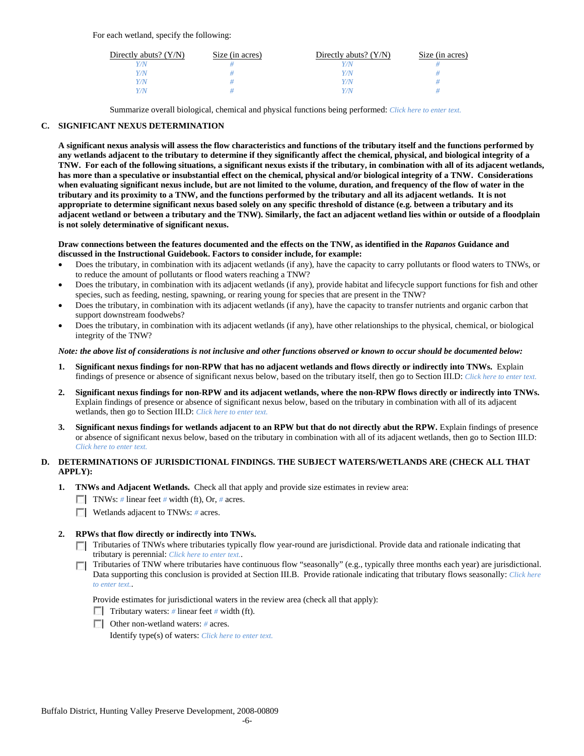For each wetland, specify the following:

| Directly abuts? $(Y/N)$ | Size (in acres) | Directly abuts? $(Y/N)$ | Size (in acres) |
|-------------------------|-----------------|-------------------------|-----------------|
|                         |                 | Y/N                     |                 |
| Y/N                     |                 | Y/N                     |                 |
| Y/N                     |                 | Y/N                     |                 |
| Y/N                     |                 | Y/N                     |                 |

Summarize overall biological, chemical and physical functions being performed: *Click here to enter text.*

# **C. SIGNIFICANT NEXUS DETERMINATION**

**A significant nexus analysis will assess the flow characteristics and functions of the tributary itself and the functions performed by any wetlands adjacent to the tributary to determine if they significantly affect the chemical, physical, and biological integrity of a TNW. For each of the following situations, a significant nexus exists if the tributary, in combination with all of its adjacent wetlands, has more than a speculative or insubstantial effect on the chemical, physical and/or biological integrity of a TNW. Considerations when evaluating significant nexus include, but are not limited to the volume, duration, and frequency of the flow of water in the tributary and its proximity to a TNW, and the functions performed by the tributary and all its adjacent wetlands. It is not appropriate to determine significant nexus based solely on any specific threshold of distance (e.g. between a tributary and its adjacent wetland or between a tributary and the TNW). Similarly, the fact an adjacent wetland lies within or outside of a floodplain is not solely determinative of significant nexus.** 

### **Draw connections between the features documented and the effects on the TNW, as identified in the** *Rapanos* **Guidance and discussed in the Instructional Guidebook. Factors to consider include, for example:**

- Does the tributary, in combination with its adjacent wetlands (if any), have the capacity to carry pollutants or flood waters to TNWs, or to reduce the amount of pollutants or flood waters reaching a TNW?
- Does the tributary, in combination with its adjacent wetlands (if any), provide habitat and lifecycle support functions for fish and other species, such as feeding, nesting, spawning, or rearing young for species that are present in the TNW?
- Does the tributary, in combination with its adjacent wetlands (if any), have the capacity to transfer nutrients and organic carbon that support downstream foodwebs?
- Does the tributary, in combination with its adjacent wetlands (if any), have other relationships to the physical, chemical, or biological integrity of the TNW?

### *Note: the above list of considerations is not inclusive and other functions observed or known to occur should be documented below:*

- **1. Significant nexus findings for non-RPW that has no adjacent wetlands and flows directly or indirectly into TNWs.** Explain findings of presence or absence of significant nexus below, based on the tributary itself, then go to Section III.D: *Click here to enter text.*
- **2. Significant nexus findings for non-RPW and its adjacent wetlands, where the non-RPW flows directly or indirectly into TNWs.**  Explain findings of presence or absence of significant nexus below, based on the tributary in combination with all of its adjacent wetlands, then go to Section III.D: *Click here to enter text.*
- **3. Significant nexus findings for wetlands adjacent to an RPW but that do not directly abut the RPW.** Explain findings of presence or absence of significant nexus below, based on the tributary in combination with all of its adjacent wetlands, then go to Section III.D: *Click here to enter text.*

# **D. DETERMINATIONS OF JURISDICTIONAL FINDINGS. THE SUBJECT WATERS/WETLANDS ARE (CHECK ALL THAT APPLY):**

- **1. TNWs and Adjacent Wetlands.** Check all that apply and provide size estimates in review area:
	- TNWs: *#* linear feet *#* width (ft), Or, *#* acres.
	- Wetlands adjacent to TNWs: # acres.

# **2. RPWs that flow directly or indirectly into TNWs.**

- Tributaries of TNWs where tributaries typically flow year-round are jurisdictional. Provide data and rationale indicating that tributary is perennial: *Click here to enter text.*.
- Tributaries of TNW where tributaries have continuous flow "seasonally" (e.g., typically three months each year) are jurisdictional. Data supporting this conclusion is provided at Section III.B. Provide rationale indicating that tributary flows seasonally: *Click here to enter text.*.

Provide estimates for jurisdictional waters in the review area (check all that apply):

- Tributary waters: # linear feet # width (ft).
- Other non-wetland waters: *#* acres.

Identify type(s) of waters: *Click here to enter text.*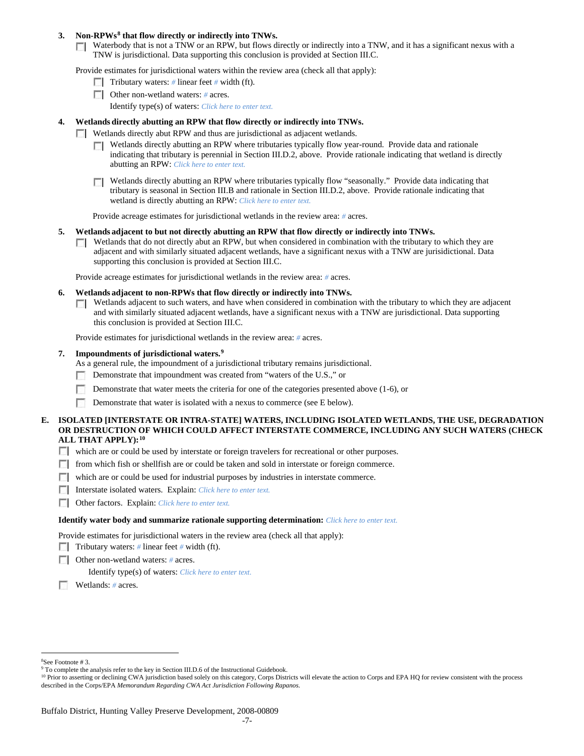### **3. Non-RPWs[8](#page-6-0) that flow directly or indirectly into TNWs.**

Waterbody that is not a TNW or an RPW, but flows directly or indirectly into a TNW, and it has a significant nexus with a TNW is jurisdictional. Data supporting this conclusion is provided at Section III.C.

Provide estimates for jurisdictional waters within the review area (check all that apply):

- Tributary waters: # linear feet # width (ft).
- Other non-wetland waters: *#* acres. Identify type(s) of waters: *Click here to enter text.*
- **4. Wetlands directly abutting an RPW that flow directly or indirectly into TNWs.**
	- Wetlands directly abut RPW and thus are jurisdictional as adjacent wetlands.
		- Wetlands directly abutting an RPW where tributaries typically flow year-round. Provide data and rationale indicating that tributary is perennial in Section III.D.2, above. Provide rationale indicating that wetland is directly abutting an RPW: *Click here to enter text.*
		- Wetlands directly abutting an RPW where tributaries typically flow "seasonally." Provide data indicating that п tributary is seasonal in Section III.B and rationale in Section III.D.2, above. Provide rationale indicating that wetland is directly abutting an RPW: *Click here to enter text.*

Provide acreage estimates for jurisdictional wetlands in the review area: *#* acres.

- **5. Wetlands adjacent to but not directly abutting an RPW that flow directly or indirectly into TNWs.**
	- $\Box$  Wetlands that do not directly abut an RPW, but when considered in combination with the tributary to which they are adjacent and with similarly situated adjacent wetlands, have a significant nexus with a TNW are jurisidictional. Data supporting this conclusion is provided at Section III.C.

Provide acreage estimates for jurisdictional wetlands in the review area: *#* acres.

- **6. Wetlands adjacent to non-RPWs that flow directly or indirectly into TNWs.** 
	- Wetlands adjacent to such waters, and have when considered in combination with the tributary to which they are adjacent  $\overline{a}$ and with similarly situated adjacent wetlands, have a significant nexus with a TNW are jurisdictional. Data supporting this conclusion is provided at Section III.C.

Provide estimates for jurisdictional wetlands in the review area: *#* acres.

### **7. Impoundments of jurisdictional waters. [9](#page-6-1)**

As a general rule, the impoundment of a jurisdictional tributary remains jurisdictional.

- Demonstrate that impoundment was created from "waters of the U.S.," or
- Demonstrate that water meets the criteria for one of the categories presented above (1-6), or
- 匝 Demonstrate that water is isolated with a nexus to commerce (see E below).
- **E. ISOLATED [INTERSTATE OR INTRA-STATE] WATERS, INCLUDING ISOLATED WETLANDS, THE USE, DEGRADATION OR DESTRUCTION OF WHICH COULD AFFECT INTERSTATE COMMERCE, INCLUDING ANY SUCH WATERS (CHECK ALL THAT APPLY):[10](#page-6-2)**
	- which are or could be used by interstate or foreign travelers for recreational or other purposes.
	- from which fish or shellfish are or could be taken and sold in interstate or foreign commerce.
	- which are or could be used for industrial purposes by industries in interstate commerce.
	- Interstate isolated waters.Explain: *Click here to enter text.*
	- Other factors.Explain: *Click here to enter text.*

#### **Identify water body and summarize rationale supporting determination:** *Click here to enter text.*

Provide estimates for jurisdictional waters in the review area (check all that apply):

- Tributary waters: # linear feet # width (ft).
- Other non-wetland waters: *#* acres.

Identify type(s) of waters: *Click here to enter text.*

Wetlands: *#* acres.

 $\frac{1}{8}$ See Footnote # 3.

<span id="page-6-1"></span><span id="page-6-0"></span><sup>&</sup>lt;sup>9</sup> To complete the analysis refer to the key in Section III.D.6 of the Instructional Guidebook.

<span id="page-6-2"></span><sup>&</sup>lt;sup>10</sup> Prior to asserting or declining CWA jurisdiction based solely on this category, Corps Districts will elevate the action to Corps and EPA HQ for review consistent with the process described in the Corps/EPA *Memorandum Regarding CWA Act Jurisdiction Following Rapanos.*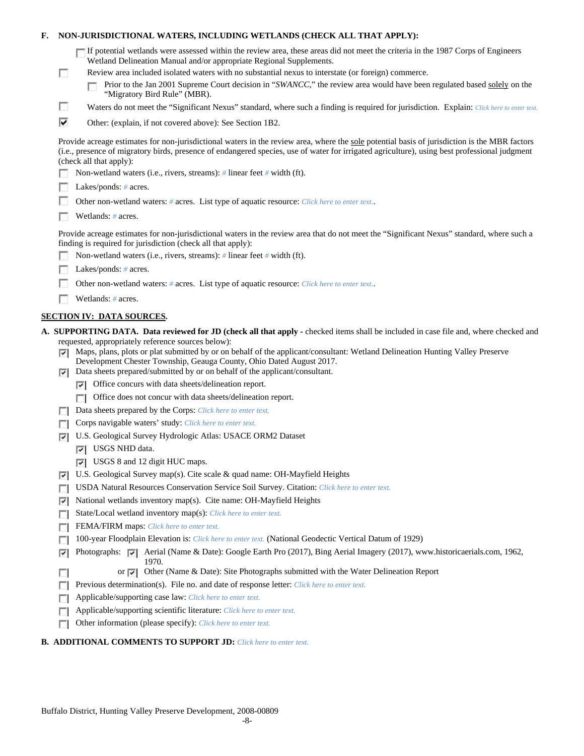# **F. NON-JURISDICTIONAL WATERS, INCLUDING WETLANDS (CHECK ALL THAT APPLY):**

| If potential wetlands were assessed within the review area, these areas did not meet the criteria in the 1987 Corps of Engineers |  |
|----------------------------------------------------------------------------------------------------------------------------------|--|
| Wetland Delineation Manual and/or appropriate Regional Supplements.                                                              |  |

- Review area included isolated waters with no substantial nexus to interstate (or foreign) commerce.
	- Prior to the Jan 2001 Supreme Court decision in "*SWANCC*," the review area would have been regulated based solely on the г "Migratory Bird Rule" (MBR).
- Waters do not meet the "Significant Nexus" standard, where such a finding is required for jurisdiction. Explain: *Click here to enter text.*
- ⊽ Other: (explain, if not covered above): See Section 1B2.

Provide acreage estimates for non-jurisdictional waters in the review area, where the sole potential basis of jurisdiction is the MBR factors (i.e., presence of migratory birds, presence of endangered species, use of water for irrigated agriculture), using best professional judgment (check all that apply):

- Non-wetland waters (i.e., rivers, streams): *#* linear feet *#* width (ft).
- Lakes/ponds: # acres.

г

 $\overline{\phantom{a}}$ 

- п Other non-wetland waters: *#* acres. List type of aquatic resource: *Click here to enter text.*.
- m. Wetlands: *#* acres.

Provide acreage estimates for non-jurisdictional waters in the review area that do not meet the "Significant Nexus" standard, where such a finding is required for jurisdiction (check all that apply):

- n Non-wetland waters (i.e., rivers, streams): *#* linear feet *#* width (ft).
- n Lakes/ponds: *#* acres.
- п Other non-wetland waters: *#* acres. List type of aquatic resource: *Click here to enter text.*.
- Wetlands: # acres.

# **SECTION IV: DATA SOURCES.**

- **A. SUPPORTING DATA. Data reviewed for JD (check all that apply -** checked items shall be included in case file and, where checked and requested, appropriately reference sources below):
	- $\nabla$  Maps, plans, plots or plat submitted by or on behalf of the applicant/consultant: Wetland Delineation Hunting Valley Preserve Development Chester Township, Geauga County, Ohio Dated August 2017.
	- Data sheets prepared/submitted by or on behalf of the applicant/consultant.
		- $\nabla$  Office concurs with data sheets/delineation report.
		- **T** Office does not concur with data sheets/delineation report.
	- Data sheets prepared by the Corps: *Click here to enter text.*
	- Corps navigable waters' study: *Click here to enter text.*
	- U.S. Geological Survey Hydrologic Atlas: USACE ORM2 Dataset
		- **V** USGS NHD data.
		- USGS 8 and 12 digit HUC maps.
	- U.S. Geological Survey map(s). Cite scale & quad name: OH-Mayfield Heights
	- USDA Natural Resources Conservation Service Soil Survey. Citation: *Click here to enter text.*
	- $\triangleright$  National wetlands inventory map(s). Cite name: OH-Mayfield Heights
	- State/Local wetland inventory map(s): *Click here to enter text.*
	- FFEMA/FIRM maps: *Click here to enter text*.
	- 100-year Floodplain Elevation is: *Click here to enter text.* (National Geodectic Vertical Datum of 1929)  $\overline{\phantom{a}}$
	- Photographs: P Aerial (Name & Date): Google Earth Pro (2017), Bing Aerial Imagery (2017), www.historicaerials.com, 1962, 1970. П
		- or  $\triangledown$  Other (Name & Date): Site Photographs submitted with the Water Delineation Report
	- Previous determination(s). File no. and date of response letter: *Click here to enter text.*  $\Box$
	- $\overline{a}$ Applicable/supporting case law: *Click here to enter text.*
	- Applicable/supporting scientific literature: *Click here to enter text.* п
	- Other information (please specify): *Click here to enter text.* п

### **B. ADDITIONAL COMMENTS TO SUPPORT JD:** *Click here to enter text.*